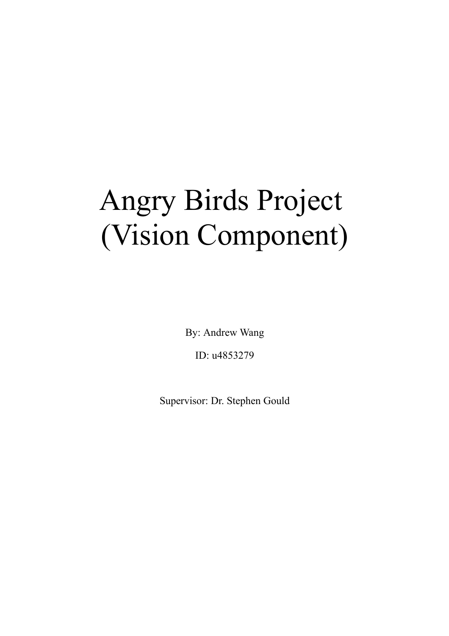# Angry Birds Project (Vision Component)

By: Andrew Wang

ID: u4853279

Supervisor: Dr. Stephen Gould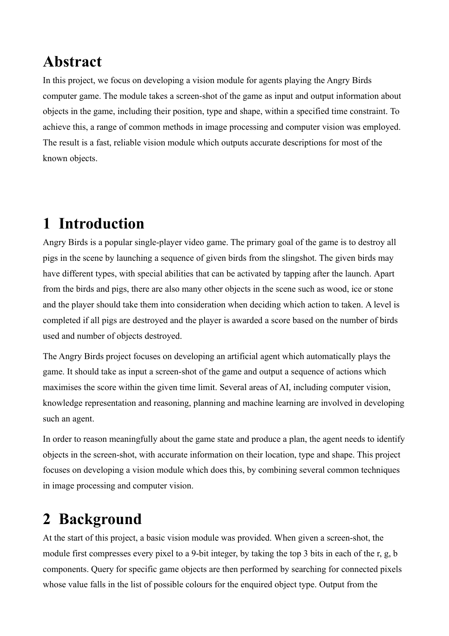# **Abstract**

In this project, we focus on developing a vision module for agents playing the Angry Birds computer game. The module takes a screen-shot of the game as input and output information about objects in the game, including their position, type and shape, within a specified time constraint. To achieve this, a range of common methods in image processing and computer vision was employed. The result is a fast, reliable vision module which outputs accurate descriptions for most of the known objects.

# **1 Introduction**

Angry Birds is a popular single-player video game. The primary goal of the game is to destroy all pigs in the scene by launching a sequence of given birds from the slingshot. The given birds may have different types, with special abilities that can be activated by tapping after the launch. Apart from the birds and pigs, there are also many other objects in the scene such as wood, ice or stone and the player should take them into consideration when deciding which action to taken. A level is completed if all pigs are destroyed and the player is awarded a score based on the number of birds used and number of objects destroyed.

The Angry Birds project focuses on developing an artificial agent which automatically plays the game. It should take as input a screen-shot of the game and output a sequence of actions which maximises the score within the given time limit. Several areas of AI, including computer vision, knowledge representation and reasoning, planning and machine learning are involved in developing such an agent.

In order to reason meaningfully about the game state and produce a plan, the agent needs to identify objects in the screen-shot, with accurate information on their location, type and shape. This project focuses on developing a vision module which does this, by combining several common techniques in image processing and computer vision.

# **2 Background**

At the start of this project, a basic vision module was provided. When given a screen-shot, the module first compresses every pixel to a 9-bit integer, by taking the top 3 bits in each of the r, g, b components. Query for specific game objects are then performed by searching for connected pixels whose value falls in the list of possible colours for the enquired object type. Output from the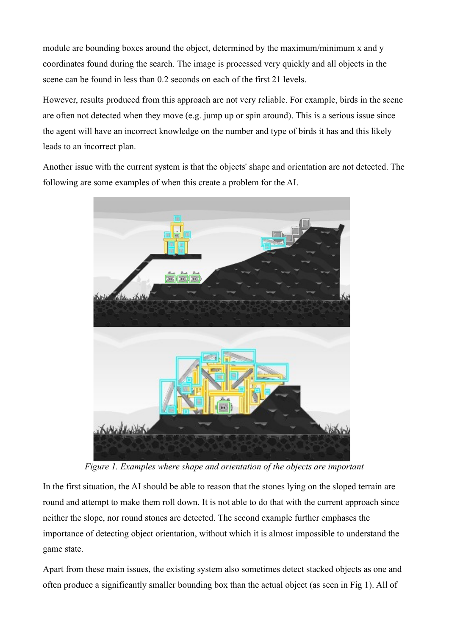module are bounding boxes around the object, determined by the maximum/minimum x and y coordinates found during the search. The image is processed very quickly and all objects in the scene can be found in less than 0.2 seconds on each of the first 21 levels.

However, results produced from this approach are not very reliable. For example, birds in the scene are often not detected when they move (e.g. jump up or spin around). This is a serious issue since the agent will have an incorrect knowledge on the number and type of birds it has and this likely leads to an incorrect plan.

Another issue with the current system is that the objects' shape and orientation are not detected. The following are some examples of when this create a problem for the AI.



*Figure 1. Examples where shape and orientation of the objects are important*

In the first situation, the AI should be able to reason that the stones lying on the sloped terrain are round and attempt to make them roll down. It is not able to do that with the current approach since neither the slope, nor round stones are detected. The second example further emphases the importance of detecting object orientation, without which it is almost impossible to understand the game state.

Apart from these main issues, the existing system also sometimes detect stacked objects as one and often produce a significantly smaller bounding box than the actual object (as seen in Fig 1). All of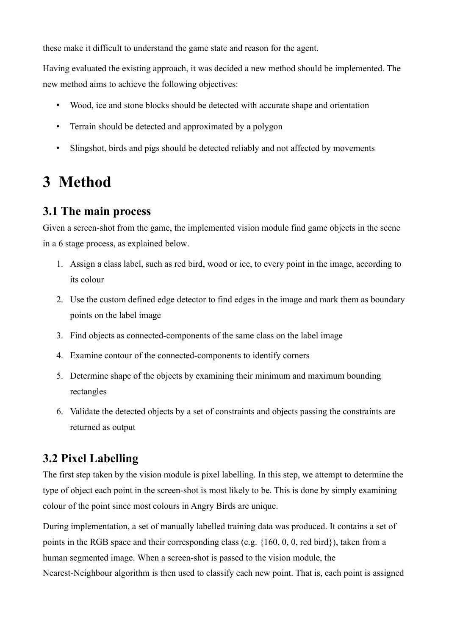these make it difficult to understand the game state and reason for the agent.

Having evaluated the existing approach, it was decided a new method should be implemented. The new method aims to achieve the following objectives:

- Wood, ice and stone blocks should be detected with accurate shape and orientation
- Terrain should be detected and approximated by a polygon
- Slingshot, birds and pigs should be detected reliably and not affected by movements

# **3 Method**

### **3.1 The main process**

Given a screen-shot from the game, the implemented vision module find game objects in the scene in a 6 stage process, as explained below.

- 1. Assign a class label, such as red bird, wood or ice, to every point in the image, according to its colour
- 2. Use the custom defined edge detector to find edges in the image and mark them as boundary points on the label image
- 3. Find objects as connected-components of the same class on the label image
- 4. Examine contour of the connected-components to identify corners
- 5. Determine shape of the objects by examining their minimum and maximum bounding rectangles
- 6. Validate the detected objects by a set of constraints and objects passing the constraints are returned as output

### **3.2 Pixel Labelling**

The first step taken by the vision module is pixel labelling. In this step, we attempt to determine the type of object each point in the screen-shot is most likely to be. This is done by simply examining colour of the point since most colours in Angry Birds are unique.

During implementation, a set of manually labelled training data was produced. It contains a set of points in the RGB space and their corresponding class (e.g. {160, 0, 0, red bird}), taken from a human segmented image. When a screen-shot is passed to the vision module, the Nearest-Neighbour algorithm is then used to classify each new point. That is, each point is assigned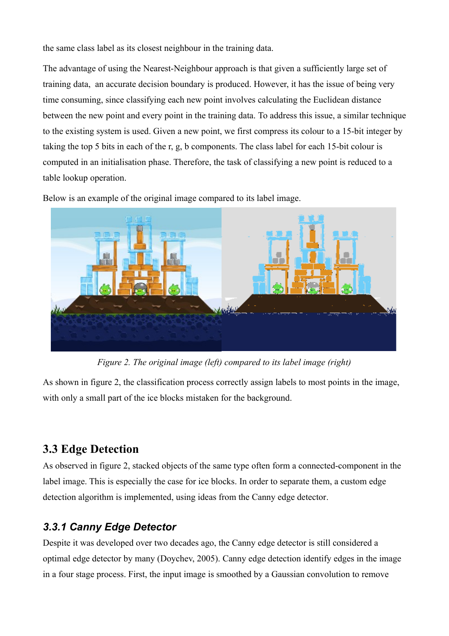the same class label as its closest neighbour in the training data.

The advantage of using the Nearest-Neighbour approach is that given a sufficiently large set of training data, an accurate decision boundary is produced. However, it has the issue of being very time consuming, since classifying each new point involves calculating the Euclidean distance between the new point and every point in the training data. To address this issue, a similar technique to the existing system is used. Given a new point, we first compress its colour to a 15-bit integer by taking the top 5 bits in each of the r, g, b components. The class label for each 15-bit colour is computed in an initialisation phase. Therefore, the task of classifying a new point is reduced to a table lookup operation.

Below is an example of the original image compared to its label image.



*Figure 2. The original image (left) compared to its label image (right)*

As shown in figure 2, the classification process correctly assign labels to most points in the image, with only a small part of the ice blocks mistaken for the background.

### **3.3 Edge Detection**

As observed in figure 2, stacked objects of the same type often form a connected-component in the label image. This is especially the case for ice blocks. In order to separate them, a custom edge detection algorithm is implemented, using ideas from the Canny edge detector.

### *3.3.1 Canny Edge Detector*

Despite it was developed over two decades ago, the Canny edge detector is still considered a optimal edge detector by many (Doychev, 2005). Canny edge detection identify edges in the image in a four stage process. First, the input image is smoothed by a Gaussian convolution to remove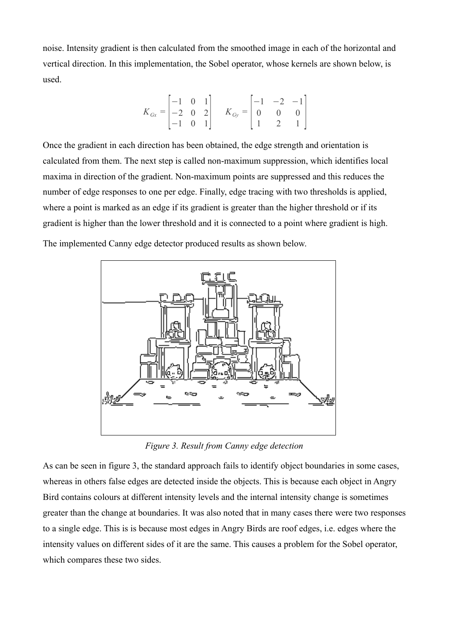noise. Intensity gradient is then calculated from the smoothed image in each of the horizontal and vertical direction. In this implementation, the Sobel operator, whose kernels are shown below, is used.

$$
K_{Gx} = \begin{bmatrix} -1 & 0 & 1 \\ -2 & 0 & 2 \\ -1 & 0 & 1 \end{bmatrix} \quad K_{Gy} = \begin{bmatrix} -1 & -2 & -1 \\ 0 & 0 & 0 \\ 1 & 2 & 1 \end{bmatrix}
$$

Once the gradient in each direction has been obtained, the edge strength and orientation is calculated from them. The next step is called non-maximum suppression, which identifies local maxima in direction of the gradient. Non-maximum points are suppressed and this reduces the number of edge responses to one per edge. Finally, edge tracing with two thresholds is applied, where a point is marked as an edge if its gradient is greater than the higher threshold or if its gradient is higher than the lower threshold and it is connected to a point where gradient is high.

The implemented Canny edge detector produced results as shown below.



*Figure 3. Result from Canny edge detection*

As can be seen in figure 3, the standard approach fails to identify object boundaries in some cases, whereas in others false edges are detected inside the objects. This is because each object in Angry Bird contains colours at different intensity levels and the internal intensity change is sometimes greater than the change at boundaries. It was also noted that in many cases there were two responses to a single edge. This is is because most edges in Angry Birds are roof edges, i.e. edges where the intensity values on different sides of it are the same. This causes a problem for the Sobel operator, which compares these two sides.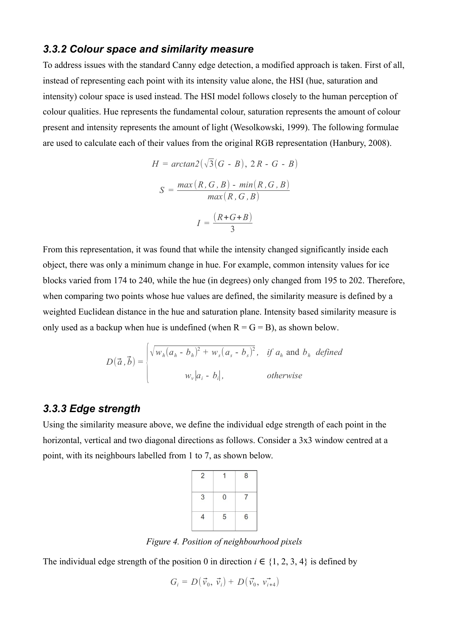#### *3.3.2 Colour space and similarity measure*

To address issues with the standard Canny edge detection, a modified approach is taken. First of all, instead of representing each point with its intensity value alone, the HSI (hue, saturation and intensity) colour space is used instead. The HSI model follows closely to the human perception of colour qualities. Hue represents the fundamental colour, saturation represents the amount of colour present and intensity represents the amount of light (Wesolkowski, 1999). The following formulae are used to calculate each of their values from the original RGB representation (Hanbury, 2008).

$$
H = \arctan 2(\sqrt{3}(G - B), 2R - G - B)
$$

$$
S = \frac{\max(R, G, B) - \min(R, G, B)}{\max(R, G, B)}
$$

$$
I = \frac{(R + G + B)}{3}
$$

From this representation, it was found that while the intensity changed significantly inside each object, there was only a minimum change in hue. For example, common intensity values for ice blocks varied from 174 to 240, while the hue (in degrees) only changed from 195 to 202. Therefore, when comparing two points whose hue values are defined, the similarity measure is defined by a weighted Euclidean distance in the hue and saturation plane. Intensity based similarity measure is only used as a backup when hue is undefined (when  $R = G = B$ ), as shown below.

$$
D(\vec{a}, \vec{b}) = \begin{cases} \sqrt{w_h(a_h - b_h)^2 + w_s(a_s - b_s)^2}, & \text{if } a_h \text{ and } b_h \text{ defined} \\ w_v |a_i - b_i|, & \text{otherwise} \end{cases}
$$

#### *3.3.3 Edge strength*

Using the similarity measure above, we define the individual edge strength of each point in the horizontal, vertical and two diagonal directions as follows. Consider a 3x3 window centred at a point, with its neighbours labelled from 1 to 7, as shown below.

| $\overline{2}$ |   | 8              |
|----------------|---|----------------|
| 3              | 0 | $\overline{7}$ |
| $\overline{4}$ | 5 | $6\phantom{a}$ |

*Figure 4. Position of neighbourhood pixels*

The individual edge strength of the position 0 in direction  $i \in \{1, 2, 3, 4\}$  is defined by

$$
G_i = D(\vec{v}_0, \vec{v}_i) + D(\vec{v}_0, \vec{v}_{i+4})
$$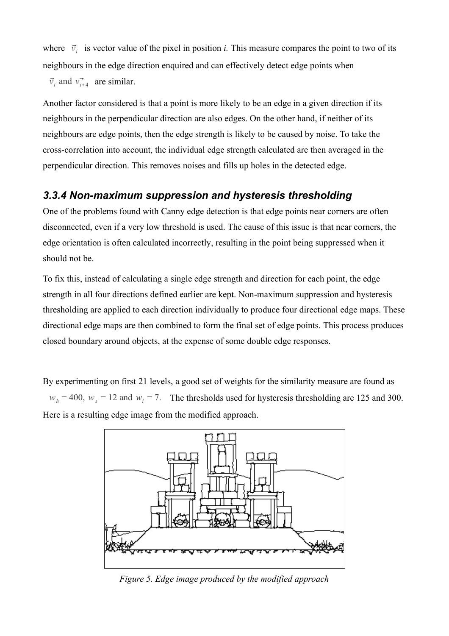where  $\vec{v}_i$  is vector value of the pixel in position *i*. This measure compares the point to two of its neighbours in the edge direction enquired and can effectively detect edge points when

 $\vec{v}_i$  and  $\vec{v}_{i+4}$  are similar.

Another factor considered is that a point is more likely to be an edge in a given direction if its neighbours in the perpendicular direction are also edges. On the other hand, if neither of its neighbours are edge points, then the edge strength is likely to be caused by noise. To take the cross-correlation into account, the individual edge strength calculated are then averaged in the perpendicular direction. This removes noises and fills up holes in the detected edge.

#### *3.3.4 Non-maximum suppression and hysteresis thresholding*

One of the problems found with Canny edge detection is that edge points near corners are often disconnected, even if a very low threshold is used. The cause of this issue is that near corners, the edge orientation is often calculated incorrectly, resulting in the point being suppressed when it should not be.

To fix this, instead of calculating a single edge strength and direction for each point, the edge strength in all four directions defined earlier are kept. Non-maximum suppression and hysteresis thresholding are applied to each direction individually to produce four directional edge maps. These directional edge maps are then combined to form the final set of edge points. This process produces closed boundary around objects, at the expense of some double edge responses.

By experimenting on first 21 levels, a good set of weights for the similarity measure are found as  $w_h$  = 400,  $w_s$  = 12 and  $w_i$  = 7. The thresholds used for hysteresis thresholding are 125 and 300. Here is a resulting edge image from the modified approach.



*Figure 5. Edge image produced by the modified approach*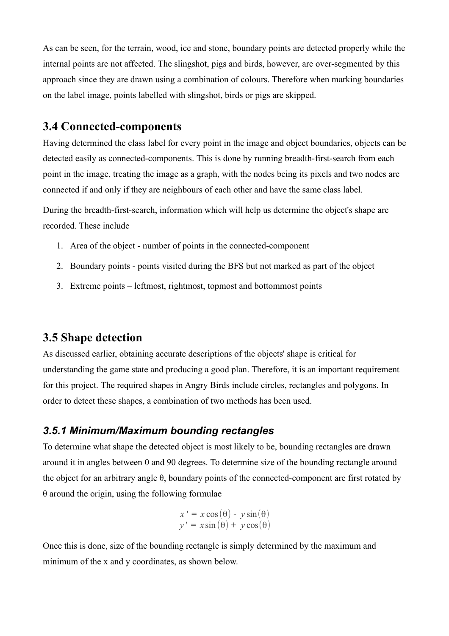As can be seen, for the terrain, wood, ice and stone, boundary points are detected properly while the internal points are not affected. The slingshot, pigs and birds, however, are over-segmented by this approach since they are drawn using a combination of colours. Therefore when marking boundaries on the label image, points labelled with slingshot, birds or pigs are skipped.

#### **3.4 Connected-components**

Having determined the class label for every point in the image and object boundaries, objects can be detected easily as connected-components. This is done by running breadth-first-search from each point in the image, treating the image as a graph, with the nodes being its pixels and two nodes are connected if and only if they are neighbours of each other and have the same class label.

During the breadth-first-search, information which will help us determine the object's shape are recorded. These include

- 1. Area of the object number of points in the connected-component
- 2. Boundary points points visited during the BFS but not marked as part of the object
- 3. Extreme points leftmost, rightmost, topmost and bottommost points

#### **3.5 Shape detection**

As discussed earlier, obtaining accurate descriptions of the objects' shape is critical for understanding the game state and producing a good plan. Therefore, it is an important requirement for this project. The required shapes in Angry Birds include circles, rectangles and polygons. In order to detect these shapes, a combination of two methods has been used.

#### *3.5.1 Minimum/Maximum bounding rectangles*

To determine what shape the detected object is most likely to be, bounding rectangles are drawn around it in angles between 0 and 90 degrees. To determine size of the bounding rectangle around the object for an arbitrary angle θ, boundary points of the connected-component are first rotated by  $\theta$  around the origin, using the following formulae

$$
x' = x \cos(\theta) - y \sin(\theta)
$$
  

$$
y' = x \sin(\theta) + y \cos(\theta)
$$

Once this is done, size of the bounding rectangle is simply determined by the maximum and minimum of the x and y coordinates, as shown below.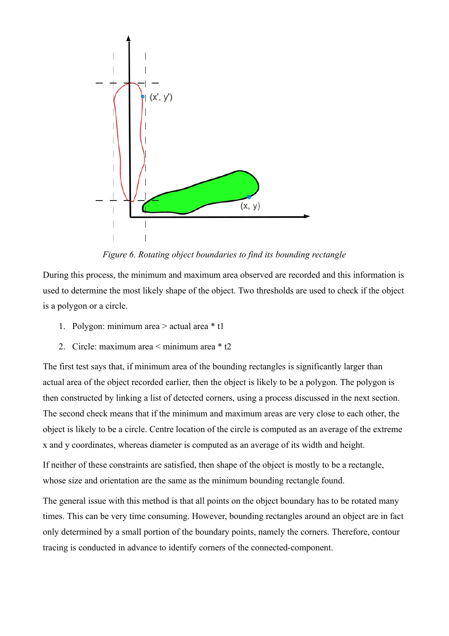

*Figure 6. Rotating object boundaries to find its bounding rectangle*

During this process, the minimum and maximum area observed are recorded and this information is used to determine the most likely shape of the object. Two thresholds are used to check if the object is a polygon or a circle.

- 1. Polygon: minimum area > actual area \* t1
- 2. Circle: maximum area < minimum area \* t2

The first test says that, if minimum area of the bounding rectangles is significantly larger than actual area of the object recorded earlier, then the object is likely to be a polygon. The polygon is then constructed by linking a list of detected corners, using a process discussed in the next section. The second check means that if the minimum and maximum areas are very close to each other, the object is likely to be a circle. Centre location of the circle is computed as an average of the extreme x and y coordinates, whereas diameter is computed as an average of its width and height.

If neither of these constraints are satisfied, then shape of the object is mostly to be a rectangle, whose size and orientation are the same as the minimum bounding rectangle found.

The general issue with this method is that all points on the object boundary has to be rotated many times. This can be very time consuming. However, bounding rectangles around an object are in fact only determined by a small portion of the boundary points, namely the corners. Therefore, contour tracing is conducted in advance to identify corners of the connected-component.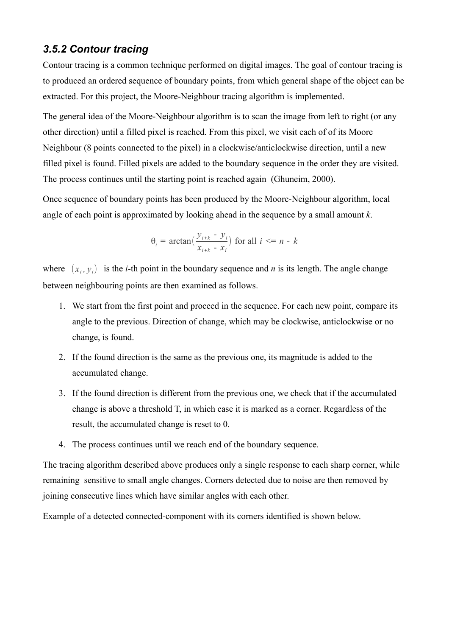#### *3.5.2 Contour tracing*

Contour tracing is a common technique performed on digital images. The goal of contour tracing is to produced an ordered sequence of boundary points, from which general shape of the object can be extracted. For this project, the Moore-Neighbour tracing algorithm is implemented.

The general idea of the Moore-Neighbour algorithm is to scan the image from left to right (or any other direction) until a filled pixel is reached. From this pixel, we visit each of of its Moore Neighbour (8 points connected to the pixel) in a clockwise/anticlockwise direction, until a new filled pixel is found. Filled pixels are added to the boundary sequence in the order they are visited. The process continues until the starting point is reached again (Ghuneim, 2000).

Once sequence of boundary points has been produced by the Moore-Neighbour algorithm, local angle of each point is approximated by looking ahead in the sequence by a small amount *k*.

$$
\theta_i = \arctan\left(\frac{y_{i+k} - y_i}{x_{i+k} - x_i}\right) \text{ for all } i \le n - k
$$

where  $(x_i, y_i)$  is the *i*-th point in the boundary sequence and *n* is its length. The angle change between neighbouring points are then examined as follows.

- 1. We start from the first point and proceed in the sequence. For each new point, compare its angle to the previous. Direction of change, which may be clockwise, anticlockwise or no change, is found.
- 2. If the found direction is the same as the previous one, its magnitude is added to the accumulated change.
- 3. If the found direction is different from the previous one, we check that if the accumulated change is above a threshold T, in which case it is marked as a corner. Regardless of the result, the accumulated change is reset to 0.
- 4. The process continues until we reach end of the boundary sequence.

The tracing algorithm described above produces only a single response to each sharp corner, while remaining sensitive to small angle changes. Corners detected due to noise are then removed by joining consecutive lines which have similar angles with each other.

Example of a detected connected-component with its corners identified is shown below.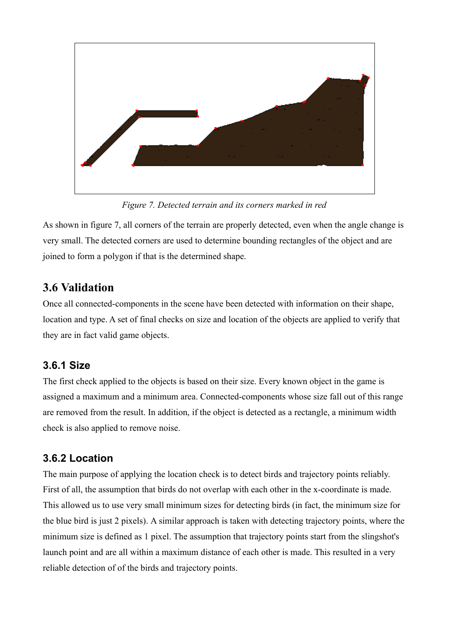

*Figure 7. Detected terrain and its corners marked in red*

As shown in figure 7, all corners of the terrain are properly detected, even when the angle change is very small. The detected corners are used to determine bounding rectangles of the object and are joined to form a polygon if that is the determined shape.

### **3.6 Validation**

Once all connected-components in the scene have been detected with information on their shape, location and type. A set of final checks on size and location of the objects are applied to verify that they are in fact valid game objects.

### **3.6.1 Size**

The first check applied to the objects is based on their size. Every known object in the game is assigned a maximum and a minimum area. Connected-components whose size fall out of this range are removed from the result. In addition, if the object is detected as a rectangle, a minimum width check is also applied to remove noise.

### **3.6.2 Location**

The main purpose of applying the location check is to detect birds and trajectory points reliably. First of all, the assumption that birds do not overlap with each other in the x-coordinate is made. This allowed us to use very small minimum sizes for detecting birds (in fact, the minimum size for the blue bird is just 2 pixels). A similar approach is taken with detecting trajectory points, where the minimum size is defined as 1 pixel. The assumption that trajectory points start from the slingshot's launch point and are all within a maximum distance of each other is made. This resulted in a very reliable detection of of the birds and trajectory points.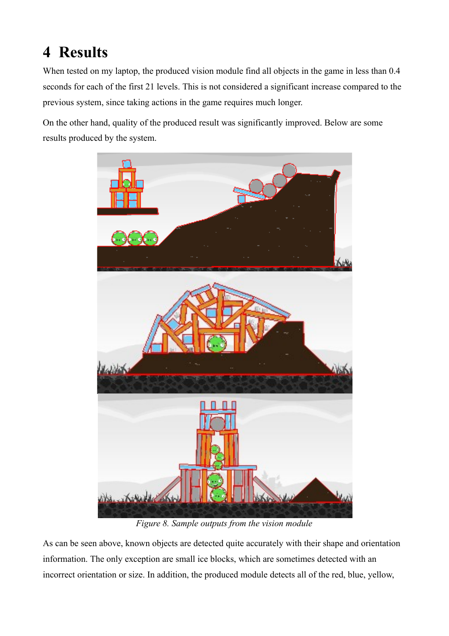# **4 Results**

When tested on my laptop, the produced vision module find all objects in the game in less than 0.4 seconds for each of the first 21 levels. This is not considered a significant increase compared to the previous system, since taking actions in the game requires much longer.

On the other hand, quality of the produced result was significantly improved. Below are some results produced by the system.



*Figure 8. Sample outputs from the vision module*

As can be seen above, known objects are detected quite accurately with their shape and orientation information. The only exception are small ice blocks, which are sometimes detected with an incorrect orientation or size. In addition, the produced module detects all of the red, blue, yellow,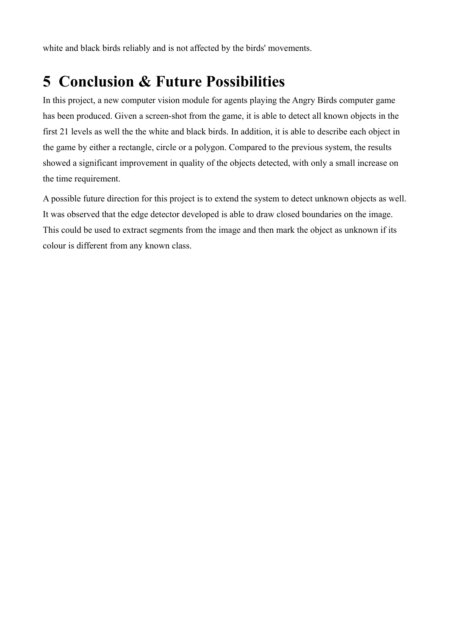white and black birds reliably and is not affected by the birds' movements.

# **5 Conclusion & Future Possibilities**

In this project, a new computer vision module for agents playing the Angry Birds computer game has been produced. Given a screen-shot from the game, it is able to detect all known objects in the first 21 levels as well the the white and black birds. In addition, it is able to describe each object in the game by either a rectangle, circle or a polygon. Compared to the previous system, the results showed a significant improvement in quality of the objects detected, with only a small increase on the time requirement.

A possible future direction for this project is to extend the system to detect unknown objects as well. It was observed that the edge detector developed is able to draw closed boundaries on the image. This could be used to extract segments from the image and then mark the object as unknown if its colour is different from any known class.